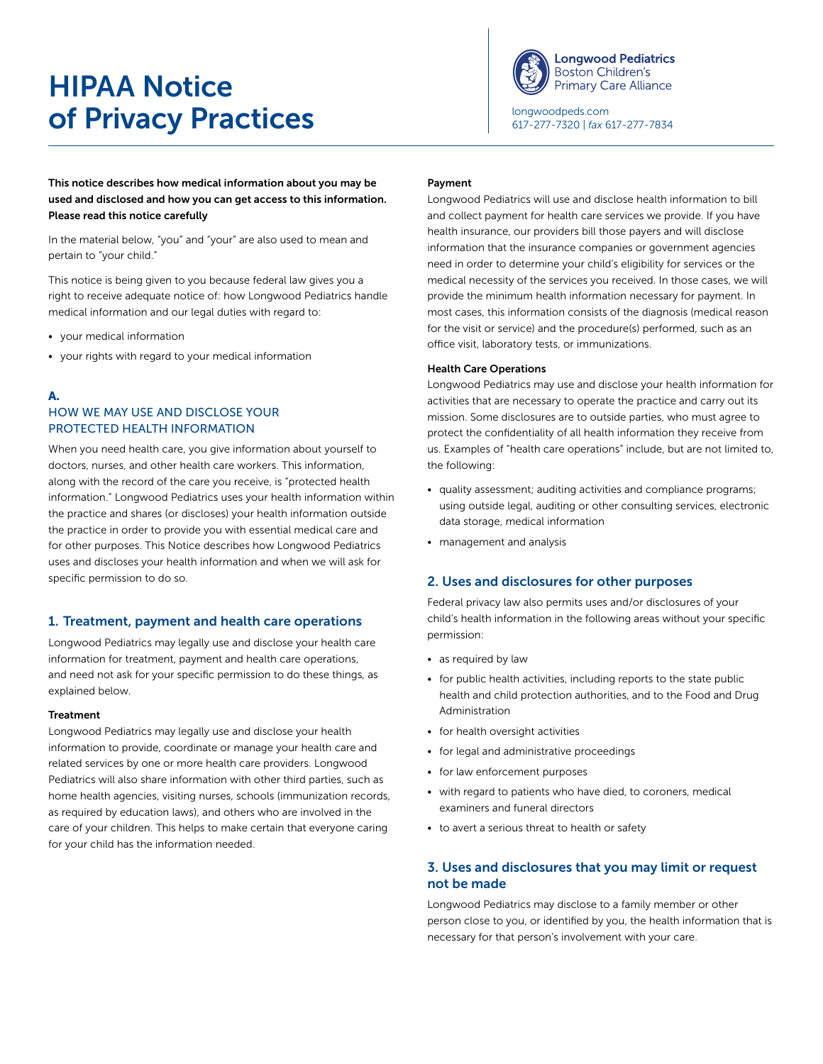# HIPAA Notice of Privacy Practices



[longwoodpeds.com](http://longwoodpeds.com) 617-277-7320 | *fax* 617-277-7834

This notice describes how medical information about you may be used and disclosed and how you can get access to this information. Please read this notice carefully

In the material below, "you" and "your" are also used to mean and pertain to "your child."

This notice is being given to you because federal law gives you a right to receive adequate notice of: how Longwood Pediatrics handle medical information and our legal duties with regard to:

- your medical information
- your rights with regard to your medical information
- A.

# HOW WE MAY USE AND DISCLOSE YOUR PROTECTED HEALTH INFORMATION

When you need health care, you give information about yourself to doctors, nurses, and other health care workers. This information, along with the record of the care you receive, is "protected health information." Longwood Pediatrics uses your health information within the practice and shares (or discloses) your health information outside the practice in order to provide you with essential medical care and for other purposes. This Notice describes how Longwood Pediatrics uses and discloses your health information and when we will ask for specific permission to do so.

#### 1. Treatment, payment and health care operations

Longwood Pediatrics may legally use and disclose your health care information for treatment, payment and health care operations, and need not ask for your specific permission to do these things, as explained below.

#### Treatment

Longwood Pediatrics may legally use and disclose your health information to provide, coordinate or manage your health care and related services by one or more health care providers. Longwood Pediatrics will also share information with other third parties, such as home health agencies, visiting nurses, schools (immunization records, as required by education laws), and others who are involved in the care of your children. This helps to make certain that everyone caring for your child has the information needed.

#### Payment

Longwood Pediatrics will use and disclose health information to bill and collect payment for health care services we provide. If you have health insurance, our providers bill those payers and will disclose information that the insurance companies or government agencies need in order to determine your child's eligibility for services or the medical necessity of the services you received. In those cases, we will provide the minimum health information necessary for payment. In most cases, this information consists of the diagnosis (medical reason for the visit or service) and the procedure(s) performed, such as an office visit, laboratory tests, or immunizations.

#### Health Care Operations

Longwood Pediatrics may use and disclose your health information for activities that are necessary to operate the practice and carry out its mission. Some disclosures are to outside parties, who must agree to protect the confidentiality of all health information they receive from us. Examples of "health care operations" include, but are not limited to, the following:

- quality assessment; auditing activities and compliance programs; using outside legal, auditing or other consulting services, electronic data storage, medical information
- management and analysis

#### 2. Uses and disclosures for other purposes

Federal privacy law also permits uses and/or disclosures of your child's health information in the following areas without your specific permission:

- as required by law
- for public health activities, including reports to the state public health and child protection authorities, and to the Food and Drug Administration
- for health oversight activities
- for legal and administrative proceedings
- for law enforcement purposes
- with regard to patients who have died, to coroners, medical examiners and funeral directors
- to avert a serious threat to health or safety

## 3. Uses and disclosures that you may limit or request not be made

Longwood Pediatrics may disclose to a family member or other person close to you, or identified by you, the health information that is necessary for that person's involvement with your care.